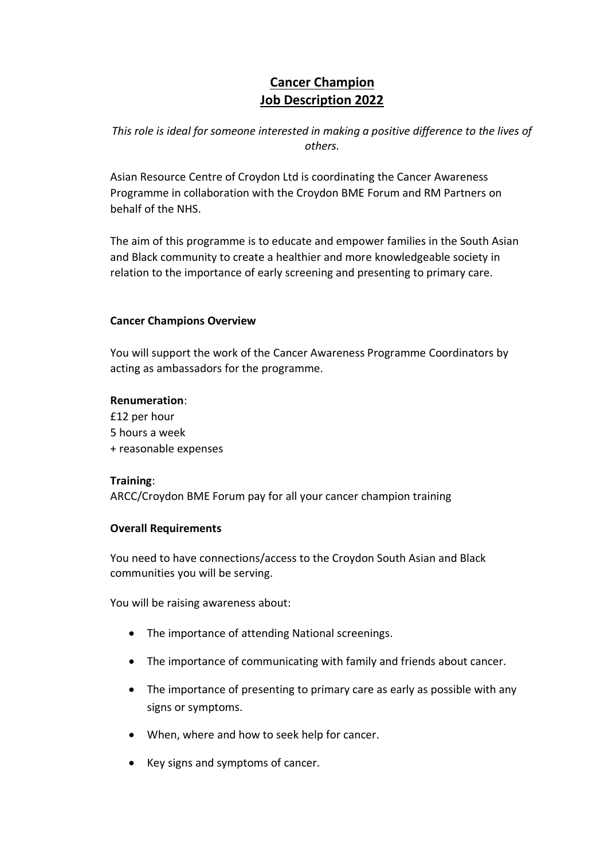# **Cancer Champion Job Description 2022**

*This role is ideal for someone interested in making a positive difference to the lives of others.*

Asian Resource Centre of Croydon Ltd is coordinating the Cancer Awareness Programme in collaboration with the Croydon BME Forum and RM Partners on behalf of the NHS.

The aim of this programme is to educate and empower families in the South Asian and Black community to create a healthier and more knowledgeable society in relation to the importance of early screening and presenting to primary care.

# **Cancer Champions Overview**

You will support the work of the Cancer Awareness Programme Coordinators by acting as ambassadors for the programme.

# **Renumeration**:

£12 per hour 5 hours a week + reasonable expenses

# **Training**:

ARCC/Croydon BME Forum pay for all your cancer champion training

# **Overall Requirements**

You need to have connections/access to the Croydon South Asian and Black communities you will be serving.

You will be raising awareness about:

- The importance of attending National screenings.
- The importance of communicating with family and friends about cancer.
- The importance of presenting to primary care as early as possible with any signs or symptoms.
- When, where and how to seek help for cancer.
- Key signs and symptoms of cancer.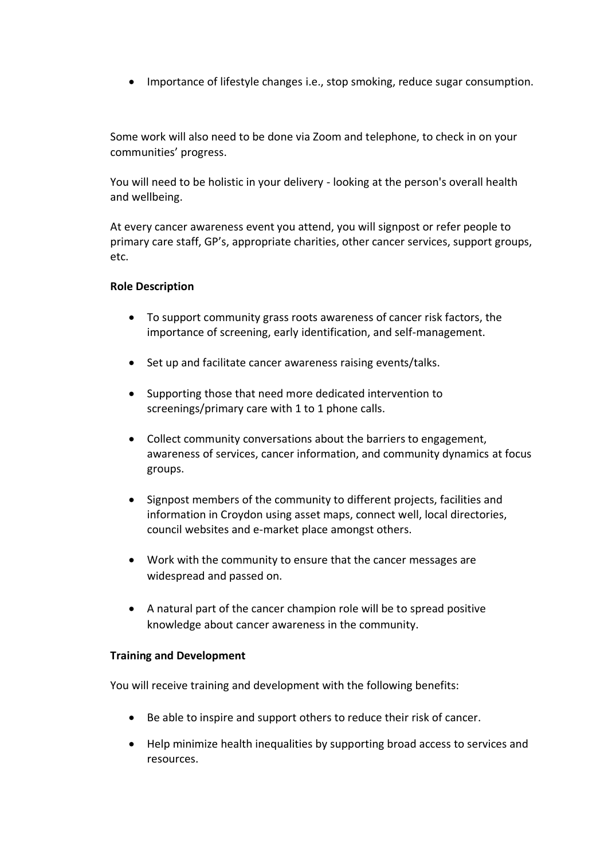• Importance of lifestyle changes i.e., stop smoking, reduce sugar consumption.

Some work will also need to be done via Zoom and telephone, to check in on your communities' progress.

You will need to be holistic in your delivery - looking at the person's overall health and wellbeing.

At every cancer awareness event you attend, you will signpost or refer people to primary care staff, GP's, appropriate charities, other cancer services, support groups, etc.

## **Role Description**

- To support community grass roots awareness of cancer risk factors, the importance of screening, early identification, and self-management.
- Set up and facilitate cancer awareness raising events/talks.
- Supporting those that need more dedicated intervention to screenings/primary care with 1 to 1 phone calls.
- Collect community conversations about the barriers to engagement, awareness of services, cancer information, and community dynamics at focus groups.
- Signpost members of the community to different projects, facilities and information in Croydon using asset maps, connect well, local directories, council websites and e-market place amongst others.
- Work with the community to ensure that the cancer messages are widespread and passed on.
- A natural part of the cancer champion role will be to spread positive knowledge about cancer awareness in the community.

# **Training and Development**

You will receive training and development with the following benefits:

- Be able to inspire and support others to reduce their risk of cancer.
- Help minimize health inequalities by supporting broad access to services and resources.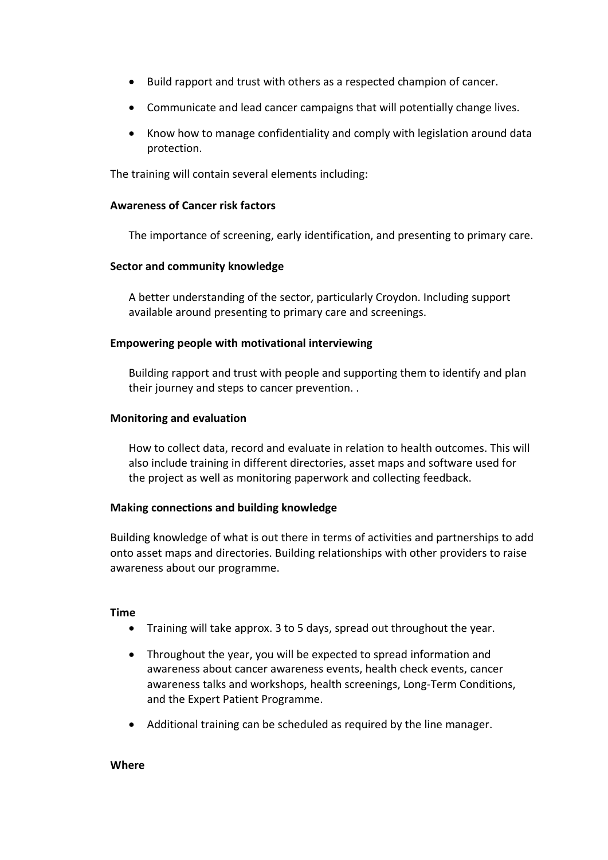- Build rapport and trust with others as a respected champion of cancer.
- Communicate and lead cancer campaigns that will potentially change lives.
- Know how to manage confidentiality and comply with legislation around data protection.

The training will contain several elements including:

#### **Awareness of Cancer risk factors**

The importance of screening, early identification, and presenting to primary care.

## **Sector and community knowledge**

A better understanding of the sector, particularly Croydon. Including support available around presenting to primary care and screenings.

## **Empowering people with motivational interviewing**

Building rapport and trust with people and supporting them to identify and plan their journey and steps to cancer prevention. .

## **Monitoring and evaluation**

How to collect data, record and evaluate in relation to health outcomes. This will also include training in different directories, asset maps and software used for the project as well as monitoring paperwork and collecting feedback.

#### **Making connections and building knowledge**

Building knowledge of what is out there in terms of activities and partnerships to add onto asset maps and directories. Building relationships with other providers to raise awareness about our programme.

#### **Time**

- Training will take approx. 3 to 5 days, spread out throughout the year.
- Throughout the year, you will be expected to spread information and awareness about cancer awareness events, health check events, cancer awareness talks and workshops, health screenings, Long-Term Conditions, and the Expert Patient Programme.
- Additional training can be scheduled as required by the line manager.

#### **Where**